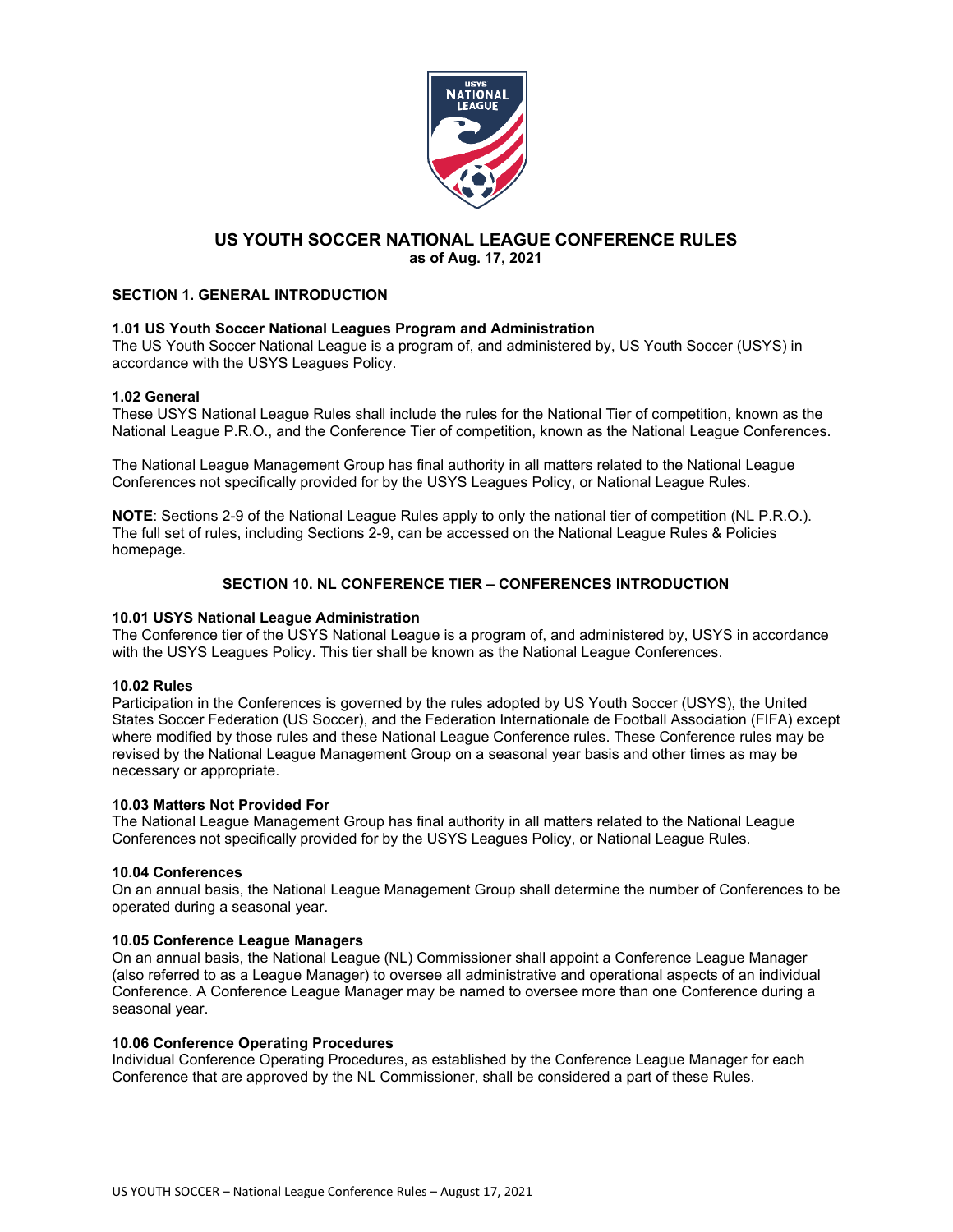

# **US YOUTH SOCCER NATIONAL LEAGUE CONFERENCE RULES as of Aug. 17, 2021**

# **SECTION 1. GENERAL INTRODUCTION**

# **1.01 US Youth Soccer National Leagues Program and Administration**

The US Youth Soccer National League is a program of, and administered by, US Youth Soccer (USYS) in accordance with the USYS Leagues Policy.

# **1.02 General**

These USYS National League Rules shall include the rules for the National Tier of competition, known as the National League P.R.O., and the Conference Tier of competition, known as the National League Conferences.

The National League Management Group has final authority in all matters related to the National League Conferences not specifically provided for by the USYS Leagues Policy, or National League Rules.

**NOTE**: Sections 2-9 of the National League Rules apply to only the national tier of competition (NL P.R.O.). The full set of rules, including Sections 2-9, can be accessed on the National League Rules & Policies homepage.

# **SECTION 10. NL CONFERENCE TIER – CONFERENCES INTRODUCTION**

# **10.01 USYS National League Administration**

The Conference tier of the USYS National League is a program of, and administered by, USYS in accordance with the USYS Leagues Policy. This tier shall be known as the National League Conferences.

## **10.02 Rules**

Participation in the Conferences is governed by the rules adopted by US Youth Soccer (USYS), the United States Soccer Federation (US Soccer), and the Federation Internationale de Football Association (FIFA) except where modified by those rules and these National League Conference rules. These Conference rules may be revised by the National League Management Group on a seasonal year basis and other times as may be necessary or appropriate.

## **10.03 Matters Not Provided For**

The National League Management Group has final authority in all matters related to the National League Conferences not specifically provided for by the USYS Leagues Policy, or National League Rules.

## **10.04 Conferences**

On an annual basis, the National League Management Group shall determine the number of Conferences to be operated during a seasonal year.

## **10.05 Conference League Managers**

On an annual basis, the National League (NL) Commissioner shall appoint a Conference League Manager (also referred to as a League Manager) to oversee all administrative and operational aspects of an individual Conference. A Conference League Manager may be named to oversee more than one Conference during a seasonal year.

## **10.06 Conference Operating Procedures**

Individual Conference Operating Procedures, as established by the Conference League Manager for each Conference that are approved by the NL Commissioner, shall be considered a part of these Rules.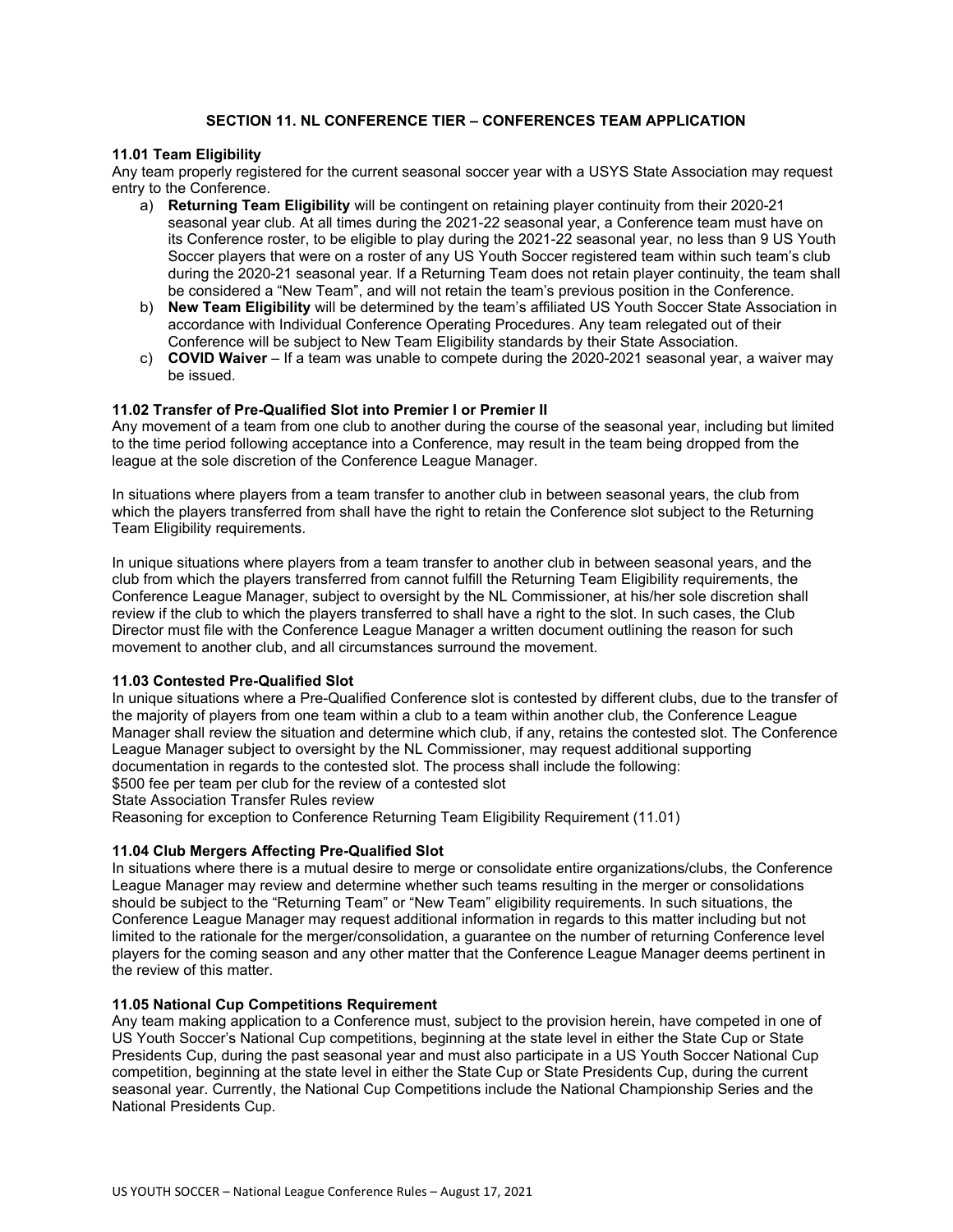# **SECTION 11. NL CONFERENCE TIER – CONFERENCES TEAM APPLICATION**

## **11.01 Team Eligibility**

Any team properly registered for the current seasonal soccer year with a USYS State Association may request entry to the Conference.

- a) **Returning Team Eligibility** will be contingent on retaining player continuity from their 2020-21 seasonal year club. At all times during the 2021-22 seasonal year, a Conference team must have on its Conference roster, to be eligible to play during the 2021-22 seasonal year, no less than 9 US Youth Soccer players that were on a roster of any US Youth Soccer registered team within such team's club during the 2020-21 seasonal year. If a Returning Team does not retain player continuity, the team shall be considered a "New Team", and will not retain the team's previous position in the Conference.
- b) **New Team Eligibility** will be determined by the team's affiliated US Youth Soccer State Association in accordance with Individual Conference Operating Procedures. Any team relegated out of their Conference will be subject to New Team Eligibility standards by their State Association.
- c) **COVID Waiver** If a team was unable to compete during the 2020-2021 seasonal year, a waiver may be issued.

## **11.02 Transfer of Pre-Qualified Slot into Premier I or Premier II**

Any movement of a team from one club to another during the course of the seasonal year, including but limited to the time period following acceptance into a Conference, may result in the team being dropped from the league at the sole discretion of the Conference League Manager.

In situations where players from a team transfer to another club in between seasonal years, the club from which the players transferred from shall have the right to retain the Conference slot subject to the Returning Team Eligibility requirements.

In unique situations where players from a team transfer to another club in between seasonal years, and the club from which the players transferred from cannot fulfill the Returning Team Eligibility requirements, the Conference League Manager, subject to oversight by the NL Commissioner, at his/her sole discretion shall review if the club to which the players transferred to shall have a right to the slot. In such cases, the Club Director must file with the Conference League Manager a written document outlining the reason for such movement to another club, and all circumstances surround the movement.

## **11.03 Contested Pre-Qualified Slot**

In unique situations where a Pre-Qualified Conference slot is contested by different clubs, due to the transfer of the majority of players from one team within a club to a team within another club, the Conference League Manager shall review the situation and determine which club, if any, retains the contested slot. The Conference League Manager subject to oversight by the NL Commissioner, may request additional supporting documentation in regards to the contested slot. The process shall include the following: \$500 fee per team per club for the review of a contested slot

State Association Transfer Rules review

Reasoning for exception to Conference Returning Team Eligibility Requirement (11.01)

## **11.04 Club Mergers Affecting Pre-Qualified Slot**

In situations where there is a mutual desire to merge or consolidate entire organizations/clubs, the Conference League Manager may review and determine whether such teams resulting in the merger or consolidations should be subject to the "Returning Team" or "New Team" eligibility requirements. In such situations, the Conference League Manager may request additional information in regards to this matter including but not limited to the rationale for the merger/consolidation, a guarantee on the number of returning Conference level players for the coming season and any other matter that the Conference League Manager deems pertinent in the review of this matter.

## **11.05 National Cup Competitions Requirement**

Any team making application to a Conference must, subject to the provision herein, have competed in one of US Youth Soccer's National Cup competitions, beginning at the state level in either the State Cup or State Presidents Cup, during the past seasonal year and must also participate in a US Youth Soccer National Cup competition, beginning at the state level in either the State Cup or State Presidents Cup, during the current seasonal year. Currently, the National Cup Competitions include the National Championship Series and the National Presidents Cup.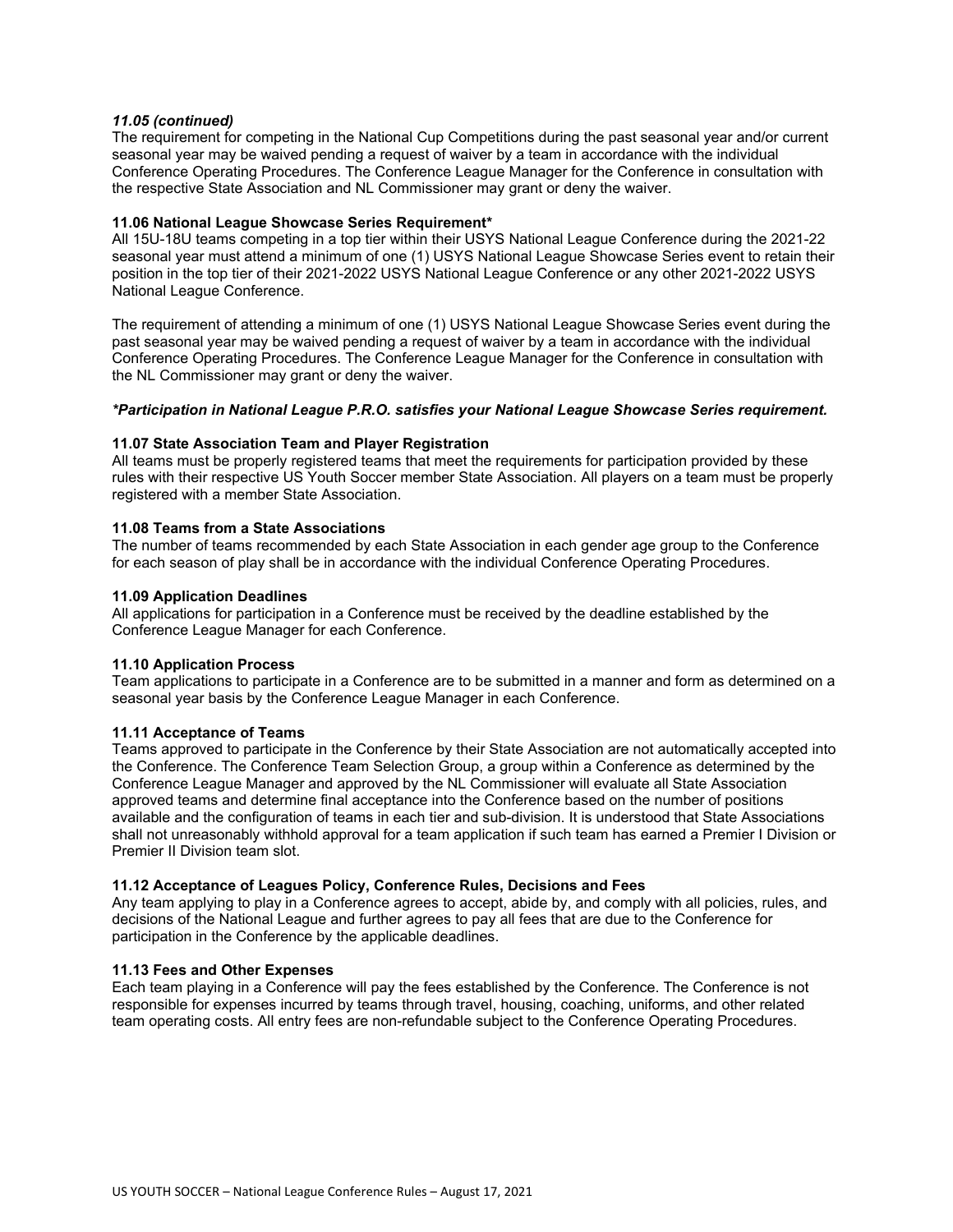## *11.05 (continued)*

The requirement for competing in the National Cup Competitions during the past seasonal year and/or current seasonal year may be waived pending a request of waiver by a team in accordance with the individual Conference Operating Procedures. The Conference League Manager for the Conference in consultation with the respective State Association and NL Commissioner may grant or deny the waiver.

## **11.06 National League Showcase Series Requirement\***

All 15U-18U teams competing in a top tier within their USYS National League Conference during the 2021-22 seasonal year must attend a minimum of one (1) USYS National League Showcase Series event to retain their position in the top tier of their 2021-2022 USYS National League Conference or any other 2021-2022 USYS National League Conference.

The requirement of attending a minimum of one (1) USYS National League Showcase Series event during the past seasonal year may be waived pending a request of waiver by a team in accordance with the individual Conference Operating Procedures. The Conference League Manager for the Conference in consultation with the NL Commissioner may grant or deny the waiver.

## *\*Participation in National League P.R.O. satisfies your National League Showcase Series requirement.*

## **11.07 State Association Team and Player Registration**

All teams must be properly registered teams that meet the requirements for participation provided by these rules with their respective US Youth Soccer member State Association. All players on a team must be properly registered with a member State Association.

## **11.08 Teams from a State Associations**

The number of teams recommended by each State Association in each gender age group to the Conference for each season of play shall be in accordance with the individual Conference Operating Procedures.

## **11.09 Application Deadlines**

All applications for participation in a Conference must be received by the deadline established by the Conference League Manager for each Conference.

## **11.10 Application Process**

Team applications to participate in a Conference are to be submitted in a manner and form as determined on a seasonal year basis by the Conference League Manager in each Conference.

# **11.11 Acceptance of Teams**

Teams approved to participate in the Conference by their State Association are not automatically accepted into the Conference. The Conference Team Selection Group, a group within a Conference as determined by the Conference League Manager and approved by the NL Commissioner will evaluate all State Association approved teams and determine final acceptance into the Conference based on the number of positions available and the configuration of teams in each tier and sub-division. It is understood that State Associations shall not unreasonably withhold approval for a team application if such team has earned a Premier I Division or Premier II Division team slot.

# **11.12 Acceptance of Leagues Policy, Conference Rules, Decisions and Fees**

Any team applying to play in a Conference agrees to accept, abide by, and comply with all policies, rules, and decisions of the National League and further agrees to pay all fees that are due to the Conference for participation in the Conference by the applicable deadlines.

## **11.13 Fees and Other Expenses**

Each team playing in a Conference will pay the fees established by the Conference. The Conference is not responsible for expenses incurred by teams through travel, housing, coaching, uniforms, and other related team operating costs. All entry fees are non-refundable subject to the Conference Operating Procedures.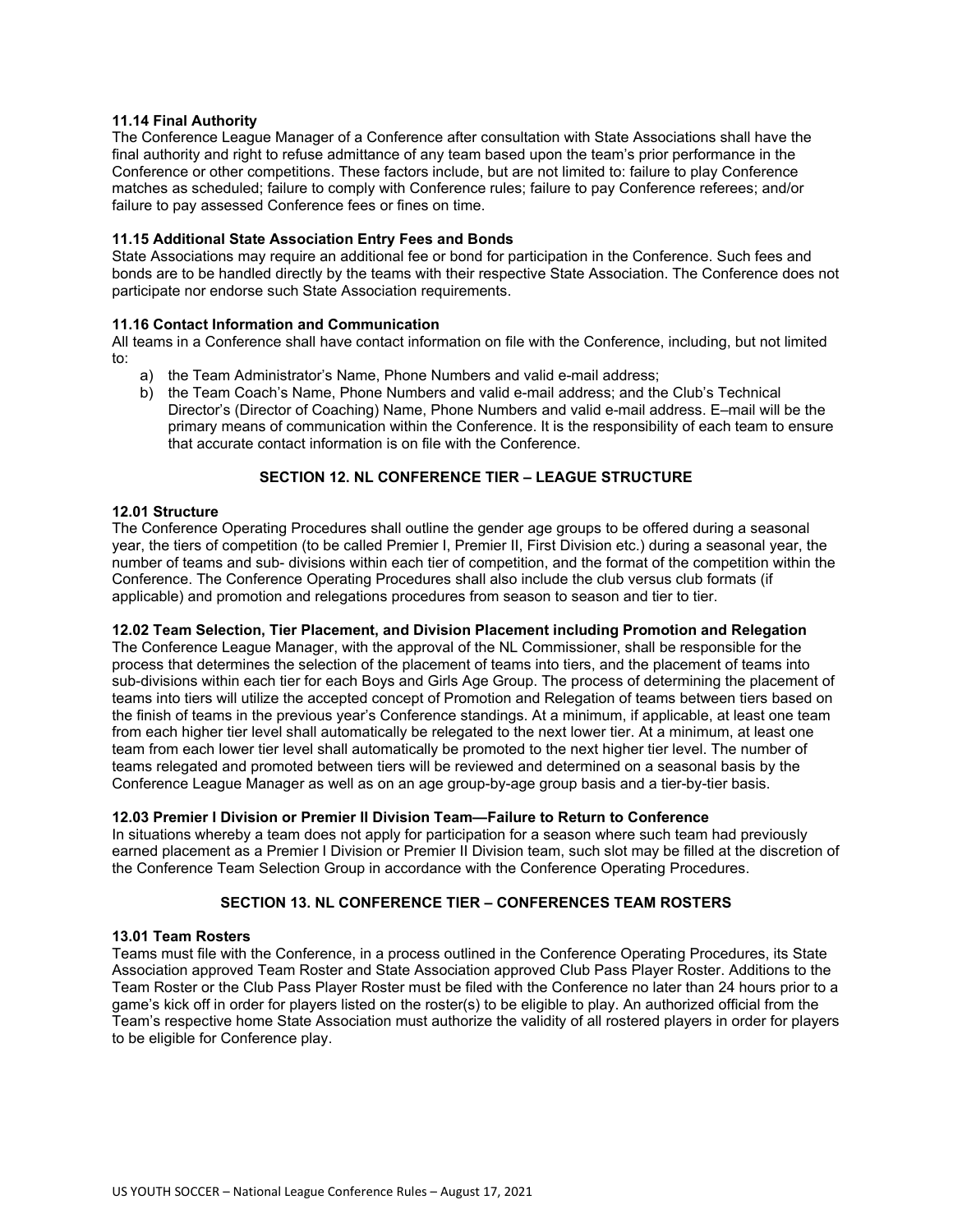## **11.14 Final Authority**

The Conference League Manager of a Conference after consultation with State Associations shall have the final authority and right to refuse admittance of any team based upon the team's prior performance in the Conference or other competitions. These factors include, but are not limited to: failure to play Conference matches as scheduled; failure to comply with Conference rules; failure to pay Conference referees; and/or failure to pay assessed Conference fees or fines on time.

## **11.15 Additional State Association Entry Fees and Bonds**

State Associations may require an additional fee or bond for participation in the Conference. Such fees and bonds are to be handled directly by the teams with their respective State Association. The Conference does not participate nor endorse such State Association requirements.

## **11.16 Contact Information and Communication**

All teams in a Conference shall have contact information on file with the Conference, including, but not limited to:

- a) the Team Administrator's Name, Phone Numbers and valid e-mail address;
- b) the Team Coach's Name, Phone Numbers and valid e-mail address; and the Club's Technical Director's (Director of Coaching) Name, Phone Numbers and valid e-mail address. E–mail will be the primary means of communication within the Conference. It is the responsibility of each team to ensure that accurate contact information is on file with the Conference.

# **SECTION 12. NL CONFERENCE TIER – LEAGUE STRUCTURE**

## **12.01 Structure**

The Conference Operating Procedures shall outline the gender age groups to be offered during a seasonal year, the tiers of competition (to be called Premier I, Premier II, First Division etc.) during a seasonal year, the number of teams and sub- divisions within each tier of competition, and the format of the competition within the Conference. The Conference Operating Procedures shall also include the club versus club formats (if applicable) and promotion and relegations procedures from season to season and tier to tier.

# **12.02 Team Selection, Tier Placement, and Division Placement including Promotion and Relegation**

The Conference League Manager, with the approval of the NL Commissioner, shall be responsible for the process that determines the selection of the placement of teams into tiers, and the placement of teams into sub-divisions within each tier for each Boys and Girls Age Group. The process of determining the placement of teams into tiers will utilize the accepted concept of Promotion and Relegation of teams between tiers based on the finish of teams in the previous year's Conference standings. At a minimum, if applicable, at least one team from each higher tier level shall automatically be relegated to the next lower tier. At a minimum, at least one team from each lower tier level shall automatically be promoted to the next higher tier level. The number of teams relegated and promoted between tiers will be reviewed and determined on a seasonal basis by the Conference League Manager as well as on an age group-by-age group basis and a tier-by-tier basis.

# **12.03 Premier I Division or Premier II Division Team—Failure to Return to Conference**

In situations whereby a team does not apply for participation for a season where such team had previously earned placement as a Premier I Division or Premier II Division team, such slot may be filled at the discretion of the Conference Team Selection Group in accordance with the Conference Operating Procedures.

# **SECTION 13. NL CONFERENCE TIER – CONFERENCES TEAM ROSTERS**

## **13.01 Team Rosters**

Teams must file with the Conference, in a process outlined in the Conference Operating Procedures, its State Association approved Team Roster and State Association approved Club Pass Player Roster. Additions to the Team Roster or the Club Pass Player Roster must be filed with the Conference no later than 24 hours prior to a game's kick off in order for players listed on the roster(s) to be eligible to play. An authorized official from the Team's respective home State Association must authorize the validity of all rostered players in order for players to be eligible for Conference play.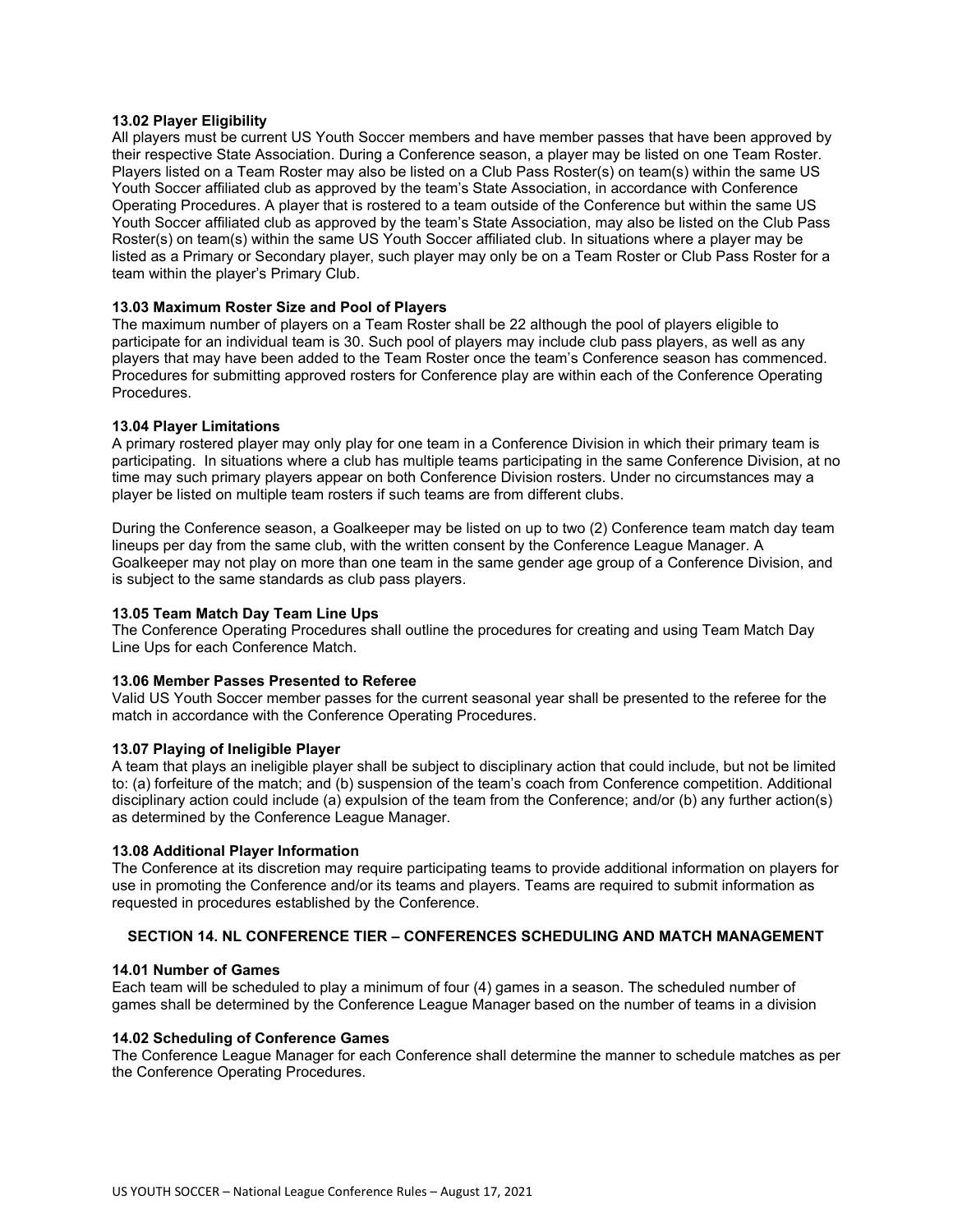### **13.02 Player Eligibility**

All players must be current US Youth Soccer members and have member passes that have been approved by their respective State Association. During a Conference season, a player may be listed on one Team Roster. Players listed on a Team Roster may also be listed on a Club Pass Roster(s) on team(s) within the same US Youth Soccer affiliated club as approved by the team's State Association, in accordance with Conference Operating Procedures. A player that is rostered to a team outside of the Conference but within the same US Youth Soccer affiliated club as approved by the team's State Association, may also be listed on the Club Pass Roster(s) on team(s) within the same US Youth Soccer affiliated club. In situations where a player may be listed as a Primary or Secondary player, such player may only be on a Team Roster or Club Pass Roster for a team within the player's Primary Club.

#### **13.03 Maximum Roster Size and Pool of Players**

The maximum number of players on a Team Roster shall be 22 although the pool of players eligible to participate for an individual team is 30. Such pool of players may include club pass players, as well as any players that may have been added to the Team Roster once the team's Conference season has commenced. Procedures for submitting approved rosters for Conference play are within each of the Conference Operating Procedures.

#### **13.04 Player Limitations**

A primary rostered player may only play for one team in a Conference Division in which their primary team is participating. In situations where a club has multiple teams participating in the same Conference Division, at no time may such primary players appear on both Conference Division rosters. Under no circumstances may a player be listed on multiple team rosters if such teams are from different clubs.

During the Conference season, a Goalkeeper may be listed on up to two (2) Conference team match day team lineups per day from the same club, with the written consent by the Conference League Manager. A Goalkeeper may not play on more than one team in the same gender age group of a Conference Division, and is subject to the same standards as club pass players.

#### **13.05 Team Match Day Team Line Ups**

The Conference Operating Procedures shall outline the procedures for creating and using Team Match Day Line Ups for each Conference Match.

#### **13.06 Member Passes Presented to Referee**

Valid US Youth Soccer member passes for the current seasonal year shall be presented to the referee for the match in accordance with the Conference Operating Procedures.

#### **13.07 Playing of Ineligible Player**

A team that plays an ineligible player shall be subject to disciplinary action that could include, but not be limited to: (a) forfeiture of the match; and (b) suspension of the team's coach from Conference competition. Additional disciplinary action could include (a) expulsion of the team from the Conference; and/or (b) any further action(s) as determined by the Conference League Manager.

#### **13.08 Additional Player Information**

The Conference at its discretion may require participating teams to provide additional information on players for use in promoting the Conference and/or its teams and players. Teams are required to submit information as requested in procedures established by the Conference.

## **SECTION 14. NL CONFERENCE TIER – CONFERENCES SCHEDULING AND MATCH MANAGEMENT**

#### **14.01 Number of Games**

Each team will be scheduled to play a minimum of four (4) games in a season. The scheduled number of games shall be determined by the Conference League Manager based on the number of teams in a division

#### **14.02 Scheduling of Conference Games**

The Conference League Manager for each Conference shall determine the manner to schedule matches as per the Conference Operating Procedures.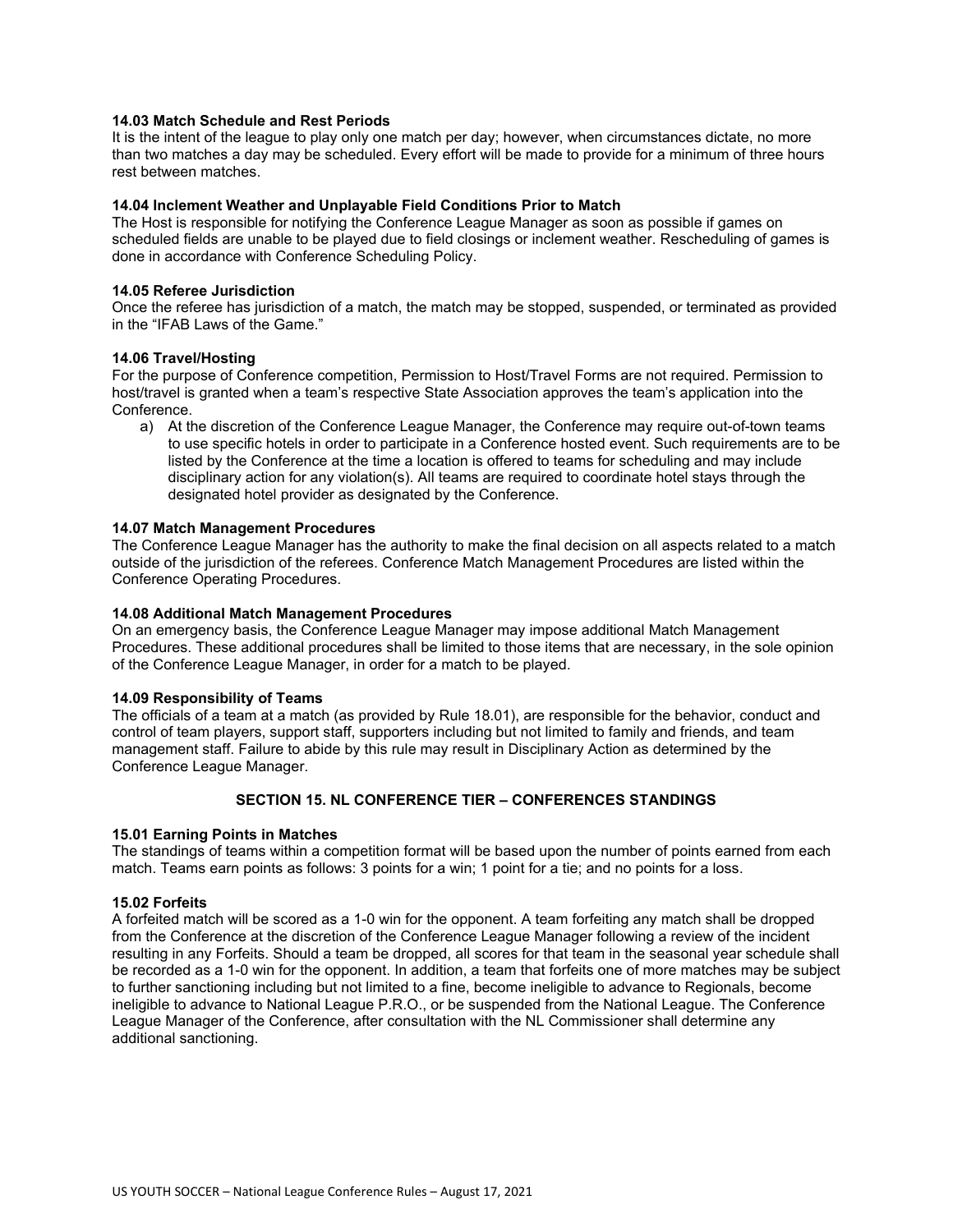### **14.03 Match Schedule and Rest Periods**

It is the intent of the league to play only one match per day; however, when circumstances dictate, no more than two matches a day may be scheduled. Every effort will be made to provide for a minimum of three hours rest between matches.

## **14.04 Inclement Weather and Unplayable Field Conditions Prior to Match**

The Host is responsible for notifying the Conference League Manager as soon as possible if games on scheduled fields are unable to be played due to field closings or inclement weather. Rescheduling of games is done in accordance with Conference Scheduling Policy.

#### **14.05 Referee Jurisdiction**

Once the referee has jurisdiction of a match, the match may be stopped, suspended, or terminated as provided in the "IFAB Laws of the Game."

#### **14.06 Travel/Hosting**

For the purpose of Conference competition, Permission to Host/Travel Forms are not required. Permission to host/travel is granted when a team's respective State Association approves the team's application into the Conference.

a) At the discretion of the Conference League Manager, the Conference may require out-of-town teams to use specific hotels in order to participate in a Conference hosted event. Such requirements are to be listed by the Conference at the time a location is offered to teams for scheduling and may include disciplinary action for any violation(s). All teams are required to coordinate hotel stays through the designated hotel provider as designated by the Conference.

#### **14.07 Match Management Procedures**

The Conference League Manager has the authority to make the final decision on all aspects related to a match outside of the jurisdiction of the referees. Conference Match Management Procedures are listed within the Conference Operating Procedures.

#### **14.08 Additional Match Management Procedures**

On an emergency basis, the Conference League Manager may impose additional Match Management Procedures. These additional procedures shall be limited to those items that are necessary, in the sole opinion of the Conference League Manager, in order for a match to be played.

## **14.09 Responsibility of Teams**

The officials of a team at a match (as provided by Rule 18.01), are responsible for the behavior, conduct and control of team players, support staff, supporters including but not limited to family and friends, and team management staff. Failure to abide by this rule may result in Disciplinary Action as determined by the Conference League Manager.

# **SECTION 15. NL CONFERENCE TIER – CONFERENCES STANDINGS**

## **15.01 Earning Points in Matches**

The standings of teams within a competition format will be based upon the number of points earned from each match. Teams earn points as follows: 3 points for a win; 1 point for a tie; and no points for a loss.

## **15.02 Forfeits**

A forfeited match will be scored as a 1-0 win for the opponent. A team forfeiting any match shall be dropped from the Conference at the discretion of the Conference League Manager following a review of the incident resulting in any Forfeits. Should a team be dropped, all scores for that team in the seasonal year schedule shall be recorded as a 1-0 win for the opponent. In addition, a team that forfeits one of more matches may be subject to further sanctioning including but not limited to a fine, become ineligible to advance to Regionals, become ineligible to advance to National League P.R.O., or be suspended from the National League. The Conference League Manager of the Conference, after consultation with the NL Commissioner shall determine any additional sanctioning.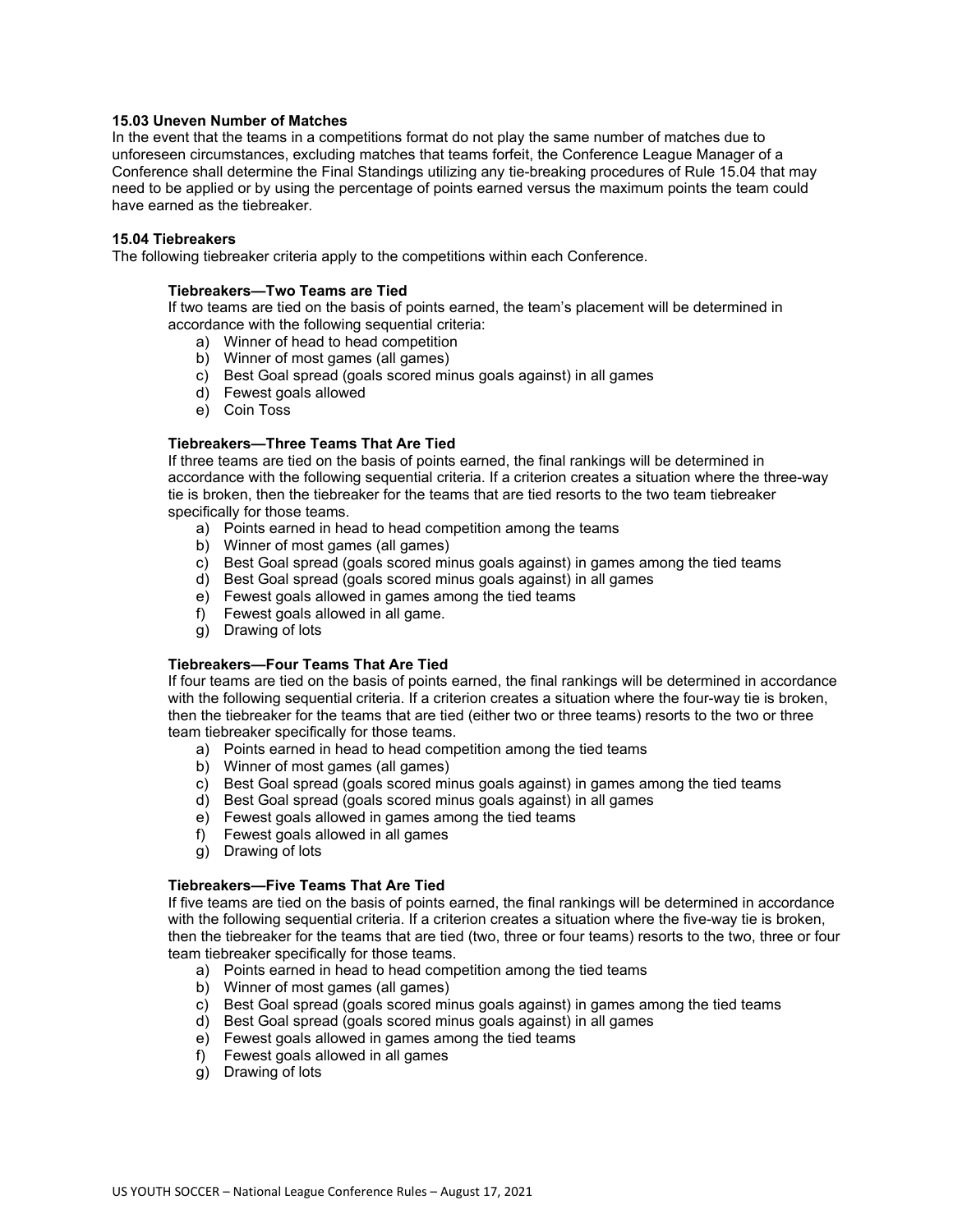### **15.03 Uneven Number of Matches**

In the event that the teams in a competitions format do not play the same number of matches due to unforeseen circumstances, excluding matches that teams forfeit, the Conference League Manager of a Conference shall determine the Final Standings utilizing any tie-breaking procedures of Rule 15.04 that may need to be applied or by using the percentage of points earned versus the maximum points the team could have earned as the tiebreaker.

#### **15.04 Tiebreakers**

The following tiebreaker criteria apply to the competitions within each Conference.

#### **Tiebreakers—Two Teams are Tied**

If two teams are tied on the basis of points earned, the team's placement will be determined in accordance with the following sequential criteria:

- a) Winner of head to head competition
- b) Winner of most games (all games)
- c) Best Goal spread (goals scored minus goals against) in all games
- d) Fewest goals allowed
- e) Coin Toss

## **Tiebreakers—Three Teams That Are Tied**

If three teams are tied on the basis of points earned, the final rankings will be determined in accordance with the following sequential criteria. If a criterion creates a situation where the three-way tie is broken, then the tiebreaker for the teams that are tied resorts to the two team tiebreaker specifically for those teams.

- a) Points earned in head to head competition among the teams
- b) Winner of most games (all games)
- c) Best Goal spread (goals scored minus goals against) in games among the tied teams
- d) Best Goal spread (goals scored minus goals against) in all games
- e) Fewest goals allowed in games among the tied teams
- f) Fewest goals allowed in all game.
- g) Drawing of lots

## **Tiebreakers—Four Teams That Are Tied**

If four teams are tied on the basis of points earned, the final rankings will be determined in accordance with the following sequential criteria. If a criterion creates a situation where the four-way tie is broken, then the tiebreaker for the teams that are tied (either two or three teams) resorts to the two or three team tiebreaker specifically for those teams.

- a) Points earned in head to head competition among the tied teams
- b) Winner of most games (all games)
- c) Best Goal spread (goals scored minus goals against) in games among the tied teams
- d) Best Goal spread (goals scored minus goals against) in all games
- e) Fewest goals allowed in games among the tied teams
- f) Fewest goals allowed in all games
- g) Drawing of lots

#### **Tiebreakers—Five Teams That Are Tied**

If five teams are tied on the basis of points earned, the final rankings will be determined in accordance with the following sequential criteria. If a criterion creates a situation where the five-way tie is broken, then the tiebreaker for the teams that are tied (two, three or four teams) resorts to the two, three or four team tiebreaker specifically for those teams.

- a) Points earned in head to head competition among the tied teams
- b) Winner of most games (all games)
- c) Best Goal spread (goals scored minus goals against) in games among the tied teams
- d) Best Goal spread (goals scored minus goals against) in all games
- e) Fewest goals allowed in games among the tied teams
- f) Fewest goals allowed in all games
- g) Drawing of lots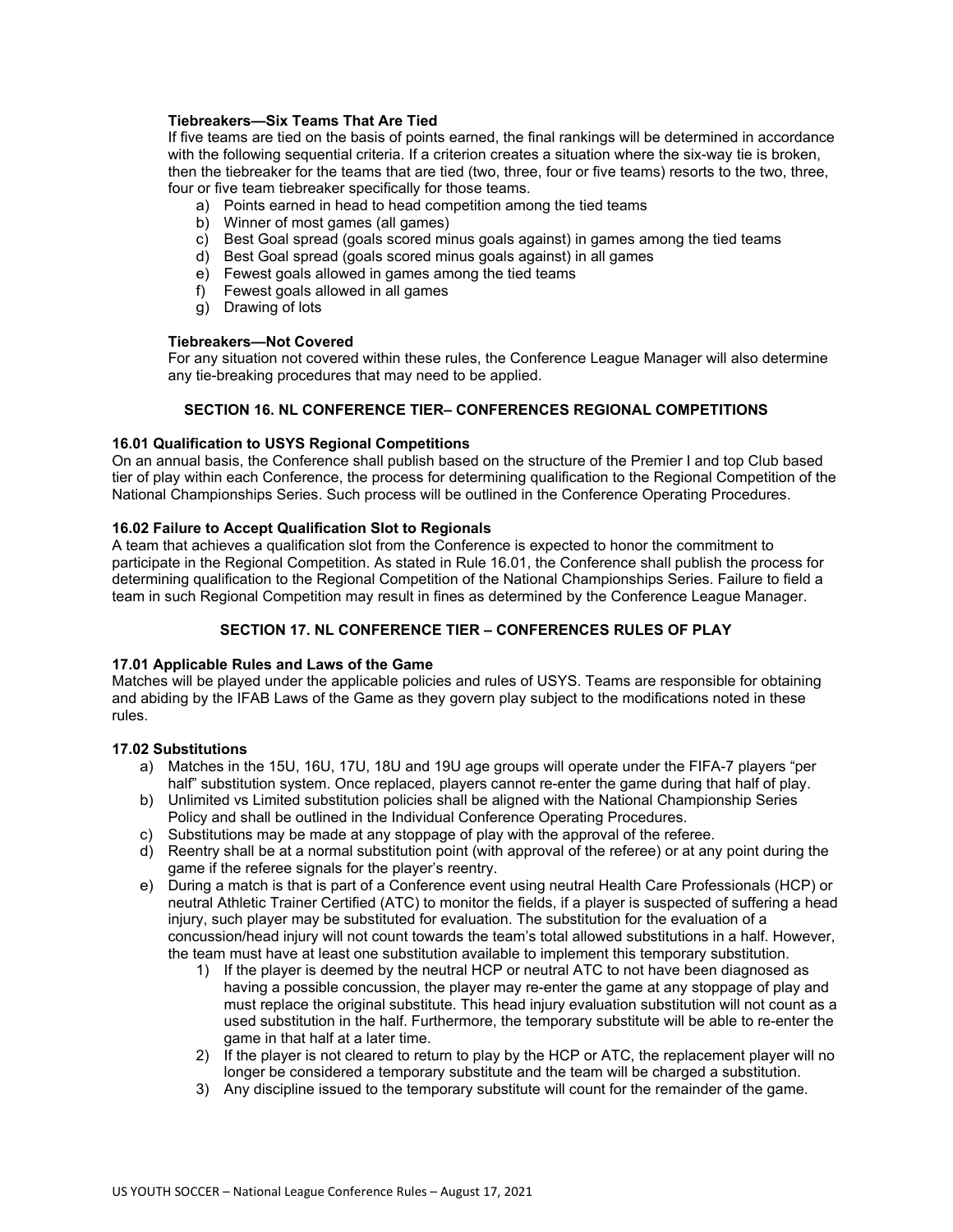## **Tiebreakers—Six Teams That Are Tied**

If five teams are tied on the basis of points earned, the final rankings will be determined in accordance with the following sequential criteria. If a criterion creates a situation where the six-way tie is broken, then the tiebreaker for the teams that are tied (two, three, four or five teams) resorts to the two, three, four or five team tiebreaker specifically for those teams.

- a) Points earned in head to head competition among the tied teams
- b) Winner of most games (all games)
- c) Best Goal spread (goals scored minus goals against) in games among the tied teams
- d) Best Goal spread (goals scored minus goals against) in all games
- e) Fewest goals allowed in games among the tied teams
- f) Fewest goals allowed in all games
- g) Drawing of lots

**Tiebreakers—Not Covered**

For any situation not covered within these rules, the Conference League Manager will also determine any tie-breaking procedures that may need to be applied.

# **SECTION 16. NL CONFERENCE TIER– CONFERENCES REGIONAL COMPETITIONS**

## **16.01 Qualification to USYS Regional Competitions**

On an annual basis, the Conference shall publish based on the structure of the Premier I and top Club based tier of play within each Conference, the process for determining qualification to the Regional Competition of the National Championships Series. Such process will be outlined in the Conference Operating Procedures.

## **16.02 Failure to Accept Qualification Slot to Regionals**

A team that achieves a qualification slot from the Conference is expected to honor the commitment to participate in the Regional Competition. As stated in Rule 16.01, the Conference shall publish the process for determining qualification to the Regional Competition of the National Championships Series. Failure to field a team in such Regional Competition may result in fines as determined by the Conference League Manager.

# **SECTION 17. NL CONFERENCE TIER – CONFERENCES RULES OF PLAY**

## **17.01 Applicable Rules and Laws of the Game**

Matches will be played under the applicable policies and rules of USYS. Teams are responsible for obtaining and abiding by the IFAB Laws of the Game as they govern play subject to the modifications noted in these rules.

## **17.02 Substitutions**

- a) Matches in the 15U, 16U, 17U, 18U and 19U age groups will operate under the FIFA-7 players "per half" substitution system. Once replaced, players cannot re-enter the game during that half of play.
- b) Unlimited vs Limited substitution policies shall be aligned with the National Championship Series Policy and shall be outlined in the Individual Conference Operating Procedures.
- c) Substitutions may be made at any stoppage of play with the approval of the referee.
- d) Reentry shall be at a normal substitution point (with approval of the referee) or at any point during the game if the referee signals for the player's reentry.
- e) During a match is that is part of a Conference event using neutral Health Care Professionals (HCP) or neutral Athletic Trainer Certified (ATC) to monitor the fields, if a player is suspected of suffering a head injury, such player may be substituted for evaluation. The substitution for the evaluation of a concussion/head injury will not count towards the team's total allowed substitutions in a half. However, the team must have at least one substitution available to implement this temporary substitution.
	- 1) If the player is deemed by the neutral HCP or neutral ATC to not have been diagnosed as having a possible concussion, the player may re-enter the game at any stoppage of play and must replace the original substitute. This head injury evaluation substitution will not count as a used substitution in the half. Furthermore, the temporary substitute will be able to re-enter the game in that half at a later time.
	- 2) If the player is not cleared to return to play by the HCP or ATC, the replacement player will no longer be considered a temporary substitute and the team will be charged a substitution.
	- 3) Any discipline issued to the temporary substitute will count for the remainder of the game.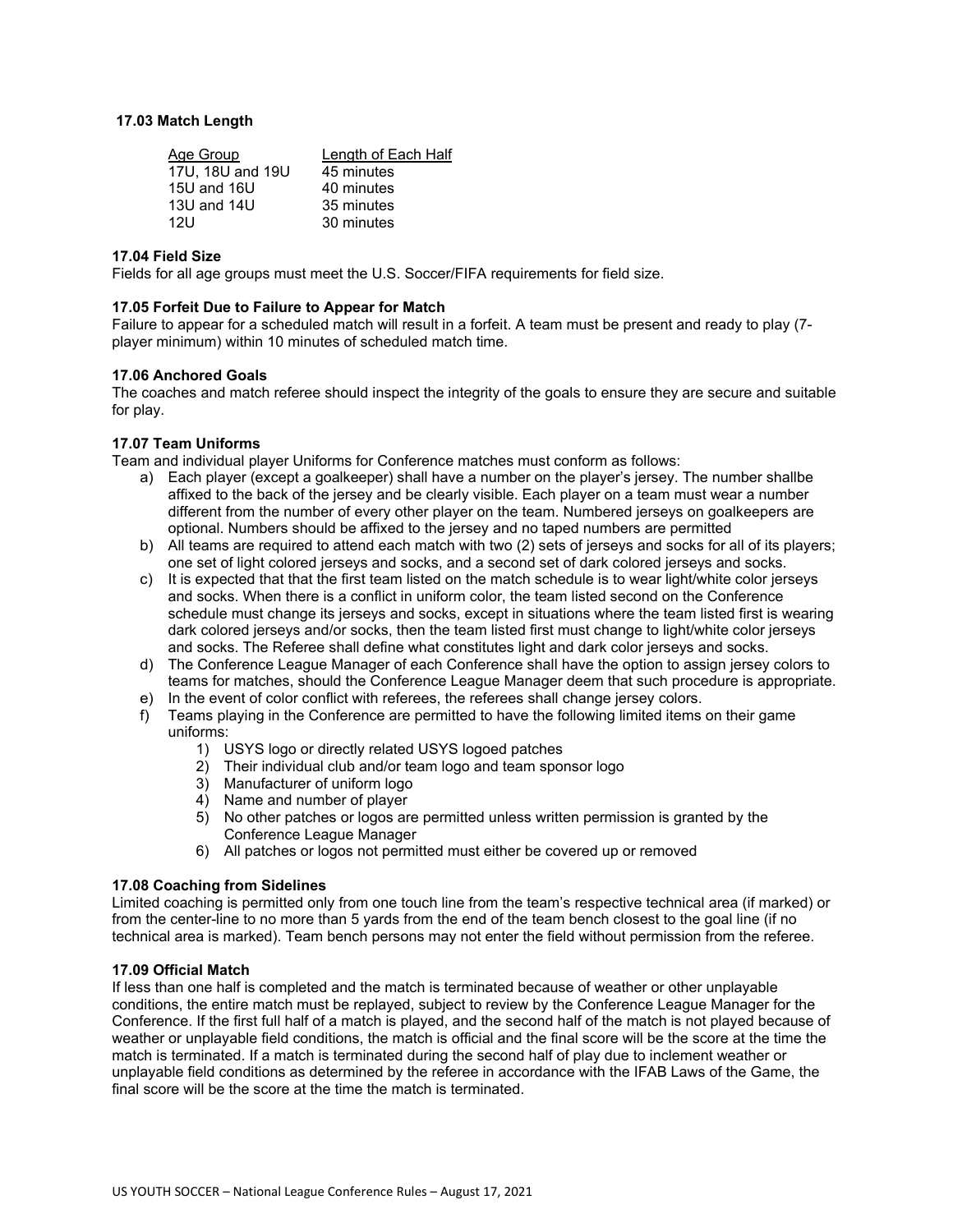## **17.03 Match Length**

| Length of Each Half |
|---------------------|
| 45 minutes          |
| 40 minutes          |
| 35 minutes          |
| 30 minutes          |
|                     |

## **17.04 Field Size**

Fields for all age groups must meet the U.S. Soccer/FIFA requirements for field size.

## **17.05 Forfeit Due to Failure to Appear for Match**

Failure to appear for a scheduled match will result in a forfeit. A team must be present and ready to play (7 player minimum) within 10 minutes of scheduled match time.

## **17.06 Anchored Goals**

The coaches and match referee should inspect the integrity of the goals to ensure they are secure and suitable for play.

## **17.07 Team Uniforms**

Team and individual player Uniforms for Conference matches must conform as follows:

- a) Each player (except a goalkeeper) shall have a number on the player's jersey. The number shallbe affixed to the back of the jersey and be clearly visible. Each player on a team must wear a number different from the number of every other player on the team. Numbered jerseys on goalkeepers are optional. Numbers should be affixed to the jersey and no taped numbers are permitted
- b) All teams are required to attend each match with two (2) sets of jerseys and socks for all of its players; one set of light colored jerseys and socks, and a second set of dark colored jerseys and socks.
- c) It is expected that that the first team listed on the match schedule is to wear light/white color jerseys and socks. When there is a conflict in uniform color, the team listed second on the Conference schedule must change its jerseys and socks, except in situations where the team listed first is wearing dark colored jerseys and/or socks, then the team listed first must change to light/white color jerseys and socks. The Referee shall define what constitutes light and dark color jerseys and socks.
- d) The Conference League Manager of each Conference shall have the option to assign jersey colors to teams for matches, should the Conference League Manager deem that such procedure is appropriate.
- e) In the event of color conflict with referees, the referees shall change jersey colors.
- f) Teams playing in the Conference are permitted to have the following limited items on their game uniforms:
	- 1) USYS logo or directly related USYS logoed patches
	- 2) Their individual club and/or team logo and team sponsor logo
	- 3) Manufacturer of uniform logo
	- 4) Name and number of player
	- 5) No other patches or logos are permitted unless written permission is granted by the Conference League Manager
	- 6) All patches or logos not permitted must either be covered up or removed

## **17.08 Coaching from Sidelines**

Limited coaching is permitted only from one touch line from the team's respective technical area (if marked) or from the center-line to no more than 5 yards from the end of the team bench closest to the goal line (if no technical area is marked). Team bench persons may not enter the field without permission from the referee.

## **17.09 Official Match**

If less than one half is completed and the match is terminated because of weather or other unplayable conditions, the entire match must be replayed, subject to review by the Conference League Manager for the Conference. If the first full half of a match is played, and the second half of the match is not played because of weather or unplayable field conditions, the match is official and the final score will be the score at the time the match is terminated. If a match is terminated during the second half of play due to inclement weather or unplayable field conditions as determined by the referee in accordance with the IFAB Laws of the Game, the final score will be the score at the time the match is terminated.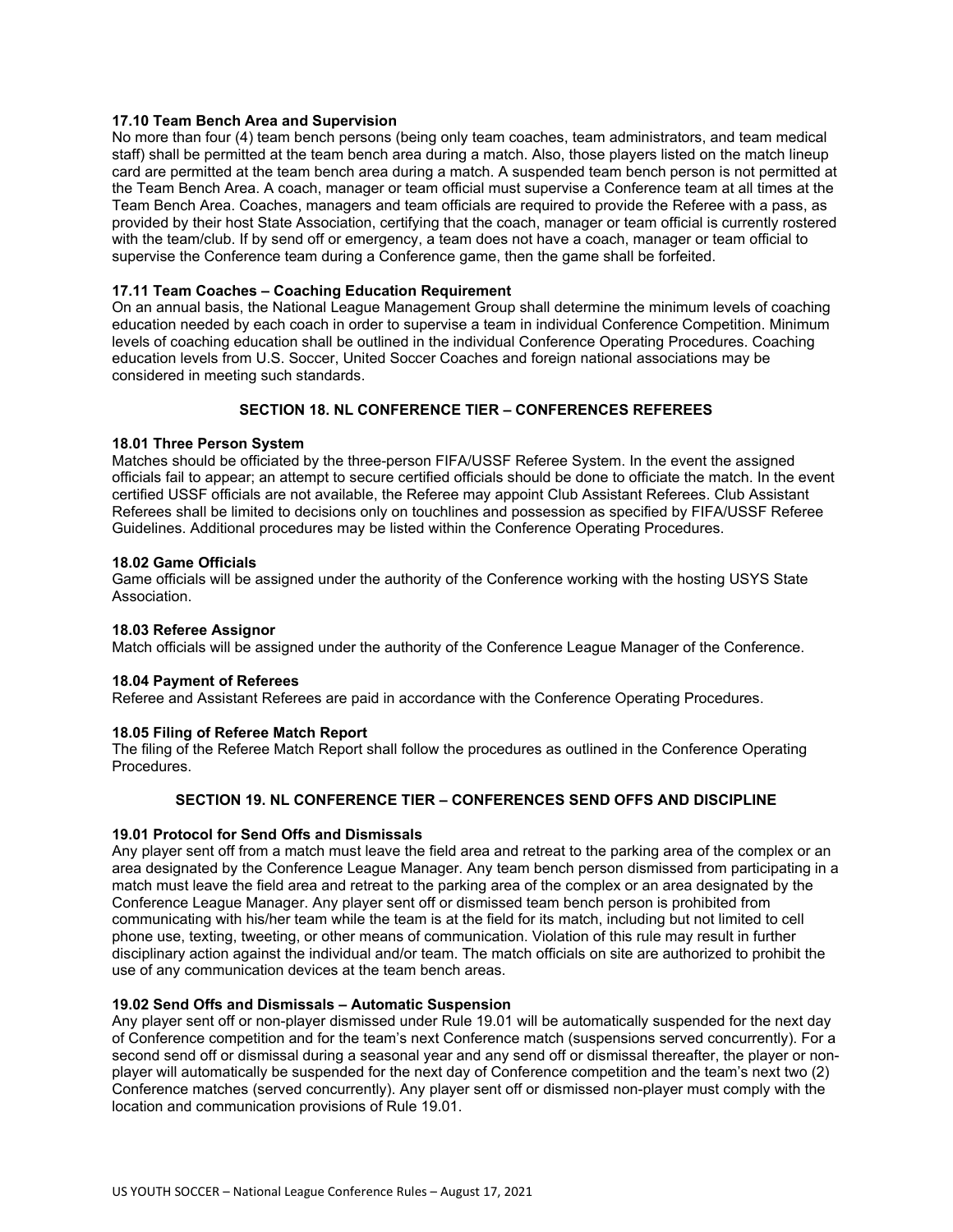## **17.10 Team Bench Area and Supervision**

No more than four (4) team bench persons (being only team coaches, team administrators, and team medical staff) shall be permitted at the team bench area during a match. Also, those players listed on the match lineup card are permitted at the team bench area during a match. A suspended team bench person is not permitted at the Team Bench Area. A coach, manager or team official must supervise a Conference team at all times at the Team Bench Area. Coaches, managers and team officials are required to provide the Referee with a pass, as provided by their host State Association, certifying that the coach, manager or team official is currently rostered with the team/club. If by send off or emergency, a team does not have a coach, manager or team official to supervise the Conference team during a Conference game, then the game shall be forfeited.

# **17.11 Team Coaches – Coaching Education Requirement**

On an annual basis, the National League Management Group shall determine the minimum levels of coaching education needed by each coach in order to supervise a team in individual Conference Competition. Minimum levels of coaching education shall be outlined in the individual Conference Operating Procedures. Coaching education levels from U.S. Soccer, United Soccer Coaches and foreign national associations may be considered in meeting such standards.

## **SECTION 18. NL CONFERENCE TIER – CONFERENCES REFEREES**

## **18.01 Three Person System**

Matches should be officiated by the three-person FIFA/USSF Referee System. In the event the assigned officials fail to appear; an attempt to secure certified officials should be done to officiate the match. In the event certified USSF officials are not available, the Referee may appoint Club Assistant Referees. Club Assistant Referees shall be limited to decisions only on touchlines and possession as specified by FIFA/USSF Referee Guidelines. Additional procedures may be listed within the Conference Operating Procedures.

#### **18.02 Game Officials**

Game officials will be assigned under the authority of the Conference working with the hosting USYS State Association.

#### **18.03 Referee Assignor**

Match officials will be assigned under the authority of the Conference League Manager of the Conference.

#### **18.04 Payment of Referees**

Referee and Assistant Referees are paid in accordance with the Conference Operating Procedures.

## **18.05 Filing of Referee Match Report**

The filing of the Referee Match Report shall follow the procedures as outlined in the Conference Operating **Procedures** 

# **SECTION 19. NL CONFERENCE TIER – CONFERENCES SEND OFFS AND DISCIPLINE**

#### **19.01 Protocol for Send Offs and Dismissals**

Any player sent off from a match must leave the field area and retreat to the parking area of the complex or an area designated by the Conference League Manager. Any team bench person dismissed from participating in a match must leave the field area and retreat to the parking area of the complex or an area designated by the Conference League Manager. Any player sent off or dismissed team bench person is prohibited from communicating with his/her team while the team is at the field for its match, including but not limited to cell phone use, texting, tweeting, or other means of communication. Violation of this rule may result in further disciplinary action against the individual and/or team. The match officials on site are authorized to prohibit the use of any communication devices at the team bench areas.

## **19.02 Send Offs and Dismissals – Automatic Suspension**

Any player sent off or non-player dismissed under Rule 19.01 will be automatically suspended for the next day of Conference competition and for the team's next Conference match (suspensions served concurrently). For a second send off or dismissal during a seasonal year and any send off or dismissal thereafter, the player or nonplayer will automatically be suspended for the next day of Conference competition and the team's next two (2) Conference matches (served concurrently). Any player sent off or dismissed non-player must comply with the location and communication provisions of Rule 19.01.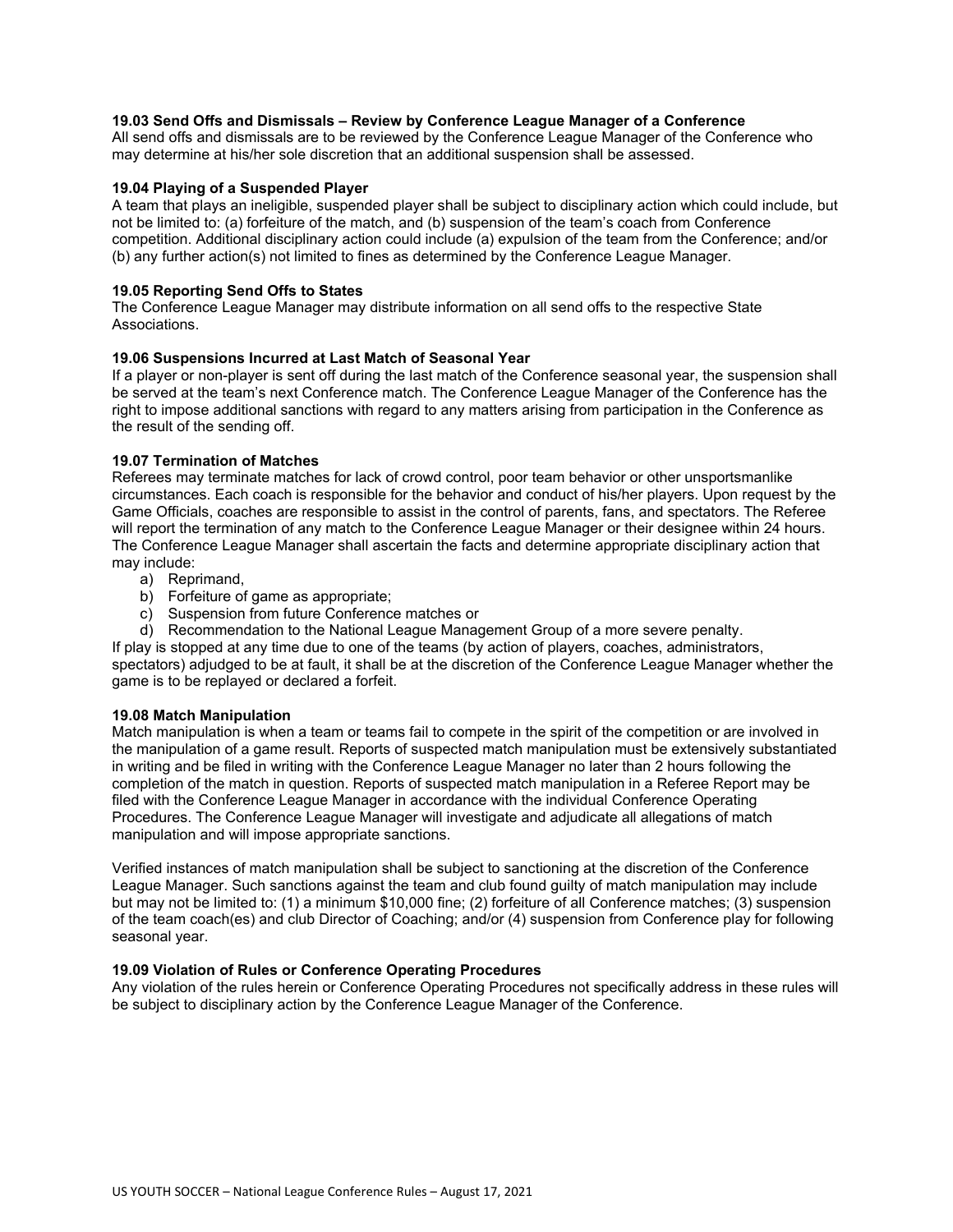## **19.03 Send Offs and Dismissals – Review by Conference League Manager of a Conference**

All send offs and dismissals are to be reviewed by the Conference League Manager of the Conference who may determine at his/her sole discretion that an additional suspension shall be assessed.

## **19.04 Playing of a Suspended Player**

A team that plays an ineligible, suspended player shall be subject to disciplinary action which could include, but not be limited to: (a) forfeiture of the match, and (b) suspension of the team's coach from Conference competition. Additional disciplinary action could include (a) expulsion of the team from the Conference; and/or (b) any further action(s) not limited to fines as determined by the Conference League Manager.

# **19.05 Reporting Send Offs to States**

The Conference League Manager may distribute information on all send offs to the respective State Associations.

# **19.06 Suspensions Incurred at Last Match of Seasonal Year**

If a player or non-player is sent off during the last match of the Conference seasonal year, the suspension shall be served at the team's next Conference match. The Conference League Manager of the Conference has the right to impose additional sanctions with regard to any matters arising from participation in the Conference as the result of the sending off.

## **19.07 Termination of Matches**

Referees may terminate matches for lack of crowd control, poor team behavior or other unsportsmanlike circumstances. Each coach is responsible for the behavior and conduct of his/her players. Upon request by the Game Officials, coaches are responsible to assist in the control of parents, fans, and spectators. The Referee will report the termination of any match to the Conference League Manager or their designee within 24 hours. The Conference League Manager shall ascertain the facts and determine appropriate disciplinary action that may include:

- a) Reprimand,
- b) Forfeiture of game as appropriate;
- c) Suspension from future Conference matches or
- d) Recommendation to the National League Management Group of a more severe penalty.

If play is stopped at any time due to one of the teams (by action of players, coaches, administrators, spectators) adjudged to be at fault, it shall be at the discretion of the Conference League Manager whether the game is to be replayed or declared a forfeit.

## **19.08 Match Manipulation**

Match manipulation is when a team or teams fail to compete in the spirit of the competition or are involved in the manipulation of a game result. Reports of suspected match manipulation must be extensively substantiated in writing and be filed in writing with the Conference League Manager no later than 2 hours following the completion of the match in question. Reports of suspected match manipulation in a Referee Report may be filed with the Conference League Manager in accordance with the individual Conference Operating Procedures. The Conference League Manager will investigate and adjudicate all allegations of match manipulation and will impose appropriate sanctions.

Verified instances of match manipulation shall be subject to sanctioning at the discretion of the Conference League Manager. Such sanctions against the team and club found guilty of match manipulation may include but may not be limited to: (1) a minimum \$10,000 fine; (2) forfeiture of all Conference matches; (3) suspension of the team coach(es) and club Director of Coaching; and/or (4) suspension from Conference play for following seasonal year.

## **19.09 Violation of Rules or Conference Operating Procedures**

Any violation of the rules herein or Conference Operating Procedures not specifically address in these rules will be subject to disciplinary action by the Conference League Manager of the Conference.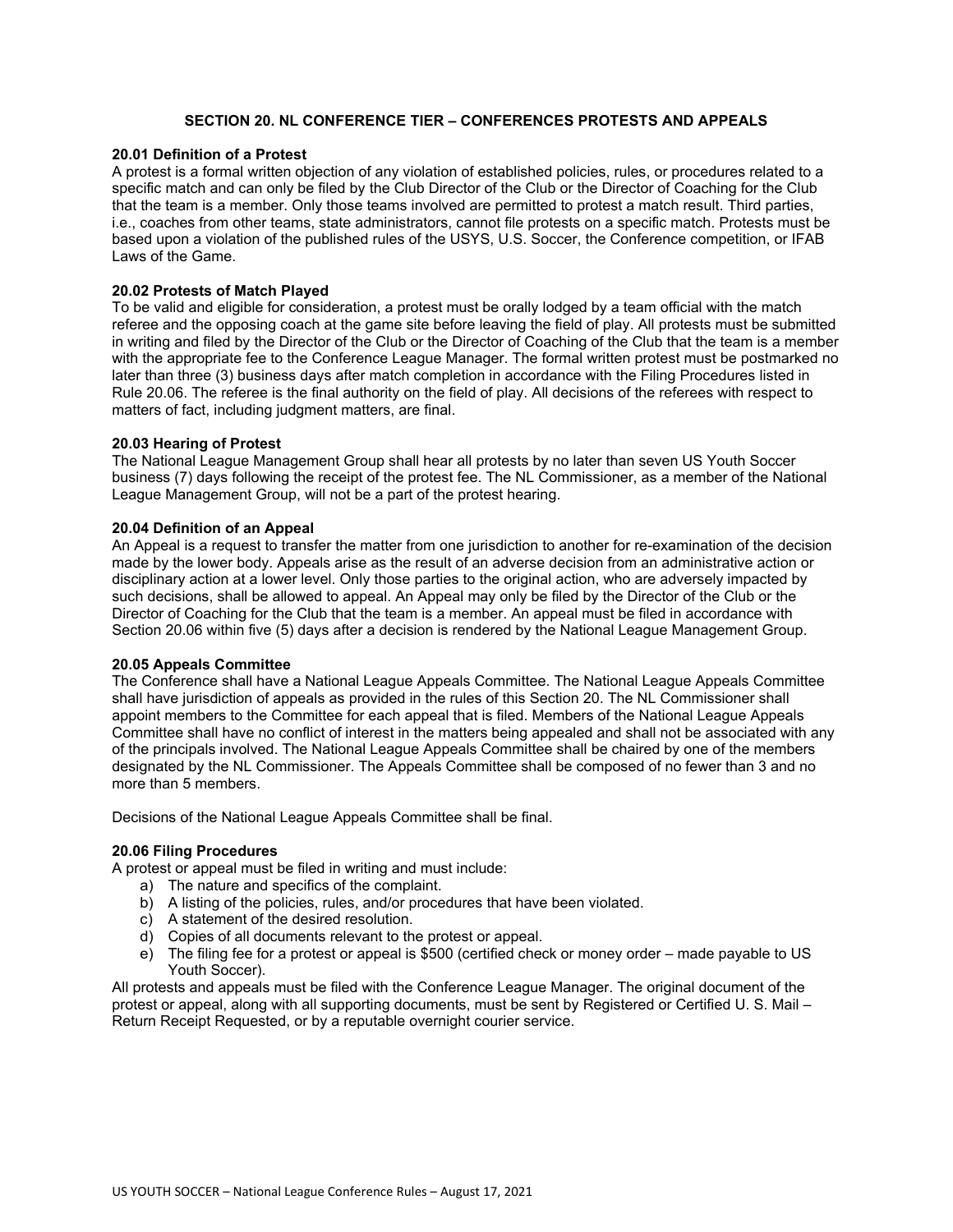# **SECTION 20. NL CONFERENCE TIER – CONFERENCES PROTESTS AND APPEALS**

## **20.01 Definition of a Protest**

A protest is a formal written objection of any violation of established policies, rules, or procedures related to a specific match and can only be filed by the Club Director of the Club or the Director of Coaching for the Club that the team is a member. Only those teams involved are permitted to protest a match result. Third parties, i.e., coaches from other teams, state administrators, cannot file protests on a specific match. Protests must be based upon a violation of the published rules of the USYS, U.S. Soccer, the Conference competition, or IFAB Laws of the Game.

## **20.02 Protests of Match Played**

To be valid and eligible for consideration, a protest must be orally lodged by a team official with the match referee and the opposing coach at the game site before leaving the field of play. All protests must be submitted in writing and filed by the Director of the Club or the Director of Coaching of the Club that the team is a member with the appropriate fee to the Conference League Manager. The formal written protest must be postmarked no later than three (3) business days after match completion in accordance with the Filing Procedures listed in Rule 20.06. The referee is the final authority on the field of play. All decisions of the referees with respect to matters of fact, including judgment matters, are final.

## **20.03 Hearing of Protest**

The National League Management Group shall hear all protests by no later than seven US Youth Soccer business (7) days following the receipt of the protest fee. The NL Commissioner, as a member of the National League Management Group, will not be a part of the protest hearing.

## **20.04 Definition of an Appeal**

An Appeal is a request to transfer the matter from one jurisdiction to another for re-examination of the decision made by the lower body. Appeals arise as the result of an adverse decision from an administrative action or disciplinary action at a lower level. Only those parties to the original action, who are adversely impacted by such decisions, shall be allowed to appeal. An Appeal may only be filed by the Director of the Club or the Director of Coaching for the Club that the team is a member. An appeal must be filed in accordance with Section 20.06 within five (5) days after a decision is rendered by the National League Management Group.

## **20.05 Appeals Committee**

The Conference shall have a National League Appeals Committee. The National League Appeals Committee shall have jurisdiction of appeals as provided in the rules of this Section 20. The NL Commissioner shall appoint members to the Committee for each appeal that is filed. Members of the National League Appeals Committee shall have no conflict of interest in the matters being appealed and shall not be associated with any of the principals involved. The National League Appeals Committee shall be chaired by one of the members designated by the NL Commissioner. The Appeals Committee shall be composed of no fewer than 3 and no more than 5 members.

Decisions of the National League Appeals Committee shall be final.

## **20.06 Filing Procedures**

A protest or appeal must be filed in writing and must include:

- a) The nature and specifics of the complaint.
- b) A listing of the policies, rules, and/or procedures that have been violated.
- c) A statement of the desired resolution.
- d) Copies of all documents relevant to the protest or appeal.
- e) The filing fee for a protest or appeal is \$500 (certified check or money order made payable to US Youth Soccer).

All protests and appeals must be filed with the Conference League Manager. The original document of the protest or appeal, along with all supporting documents, must be sent by Registered or Certified U. S. Mail – Return Receipt Requested, or by a reputable overnight courier service.